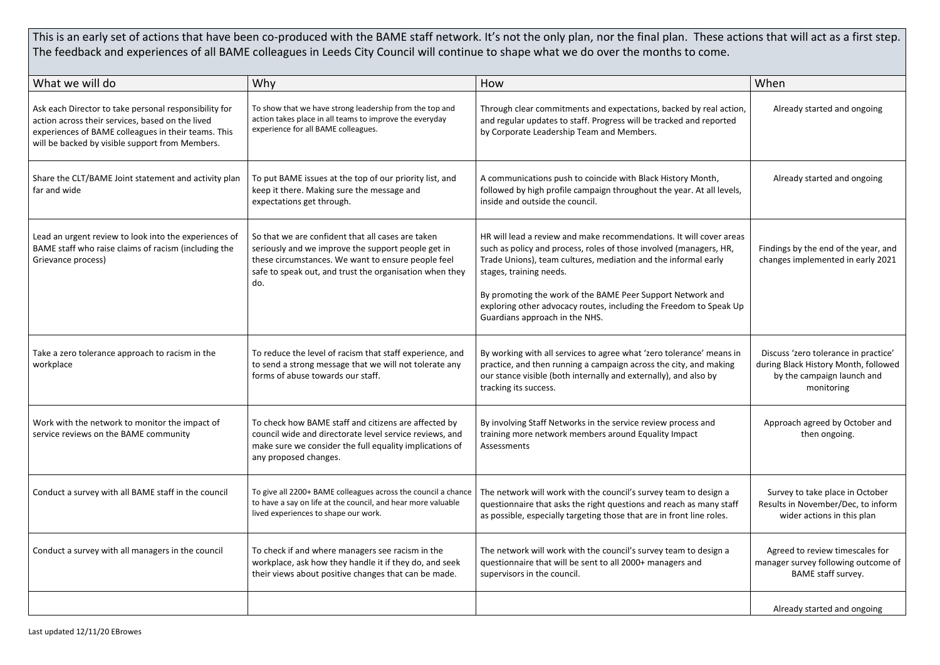This is an early set of actions that have been co-produced with the BAME staff network. It's not the only plan, nor the final plan. These actions that will act as a first step. The feedback and experiences of all BAME colleagues in Leeds City Council will continue to shape what we do over the months to come.

| What we will do                                                                                                                                                                                                     | Why                                                                                                                                                                                                                             | How                                                                                                                                                                                                                                                                                                                                                                                                          | When                                                                                                                     |
|---------------------------------------------------------------------------------------------------------------------------------------------------------------------------------------------------------------------|---------------------------------------------------------------------------------------------------------------------------------------------------------------------------------------------------------------------------------|--------------------------------------------------------------------------------------------------------------------------------------------------------------------------------------------------------------------------------------------------------------------------------------------------------------------------------------------------------------------------------------------------------------|--------------------------------------------------------------------------------------------------------------------------|
| Ask each Director to take personal responsibility for<br>action across their services, based on the lived<br>experiences of BAME colleagues in their teams. This<br>will be backed by visible support from Members. | To show that we have strong leadership from the top and<br>action takes place in all teams to improve the everyday<br>experience for all BAME colleagues.                                                                       | Through clear commitments and expectations, backed by real action,<br>and regular updates to staff. Progress will be tracked and reported<br>by Corporate Leadership Team and Members.                                                                                                                                                                                                                       | Already started and ongoing                                                                                              |
| Share the CLT/BAME Joint statement and activity plan<br>far and wide                                                                                                                                                | To put BAME issues at the top of our priority list, and<br>keep it there. Making sure the message and<br>expectations get through.                                                                                              | A communications push to coincide with Black History Month,<br>followed by high profile campaign throughout the year. At all levels,<br>inside and outside the council.                                                                                                                                                                                                                                      | Already started and ongoing                                                                                              |
| Lead an urgent review to look into the experiences of<br>BAME staff who raise claims of racism (including the<br>Grievance process)                                                                                 | So that we are confident that all cases are taken<br>seriously and we improve the support people get in<br>these circumstances. We want to ensure people feel<br>safe to speak out, and trust the organisation when they<br>do. | HR will lead a review and make recommendations. It will cover areas<br>such as policy and process, roles of those involved (managers, HR,<br>Trade Unions), team cultures, mediation and the informal early<br>stages, training needs.<br>By promoting the work of the BAME Peer Support Network and<br>exploring other advocacy routes, including the Freedom to Speak Up<br>Guardians approach in the NHS. | Findings by the end of the year, and<br>changes implemented in early 2021                                                |
| Take a zero tolerance approach to racism in the<br>workplace                                                                                                                                                        | To reduce the level of racism that staff experience, and<br>to send a strong message that we will not tolerate any<br>forms of abuse towards our staff.                                                                         | By working with all services to agree what 'zero tolerance' means in<br>practice, and then running a campaign across the city, and making<br>our stance visible (both internally and externally), and also by<br>tracking its success.                                                                                                                                                                       | Discuss 'zero tolerance in practice'<br>during Black History Month, followed<br>by the campaign launch and<br>monitoring |
| Work with the network to monitor the impact of<br>service reviews on the BAME community                                                                                                                             | To check how BAME staff and citizens are affected by<br>council wide and directorate level service reviews, and<br>make sure we consider the full equality implications of<br>any proposed changes.                             | By involving Staff Networks in the service review process and<br>training more network members around Equality Impact<br>Assessments                                                                                                                                                                                                                                                                         | Approach agreed by October and<br>then ongoing.                                                                          |
| Conduct a survey with all BAME staff in the council                                                                                                                                                                 | To give all 2200+ BAME colleagues across the council a chance<br>to have a say on life at the council, and hear more valuable<br>lived experiences to shape our work.                                                           | The network will work with the council's survey team to design a<br>questionnaire that asks the right questions and reach as many staff<br>as possible, especially targeting those that are in front line roles.                                                                                                                                                                                             | Survey to take place in October<br>Results in November/Dec, to inform<br>wider actions in this plan                      |
| Conduct a survey with all managers in the council                                                                                                                                                                   | To check if and where managers see racism in the<br>workplace, ask how they handle it if they do, and seek<br>their views about positive changes that can be made.                                                              | The network will work with the council's survey team to design a<br>questionnaire that will be sent to all 2000+ managers and<br>supervisors in the council.                                                                                                                                                                                                                                                 | Agreed to review timescales for<br>manager survey following outcome of<br>BAME staff survey.                             |
|                                                                                                                                                                                                                     |                                                                                                                                                                                                                                 |                                                                                                                                                                                                                                                                                                                                                                                                              | Already started and ongoing                                                                                              |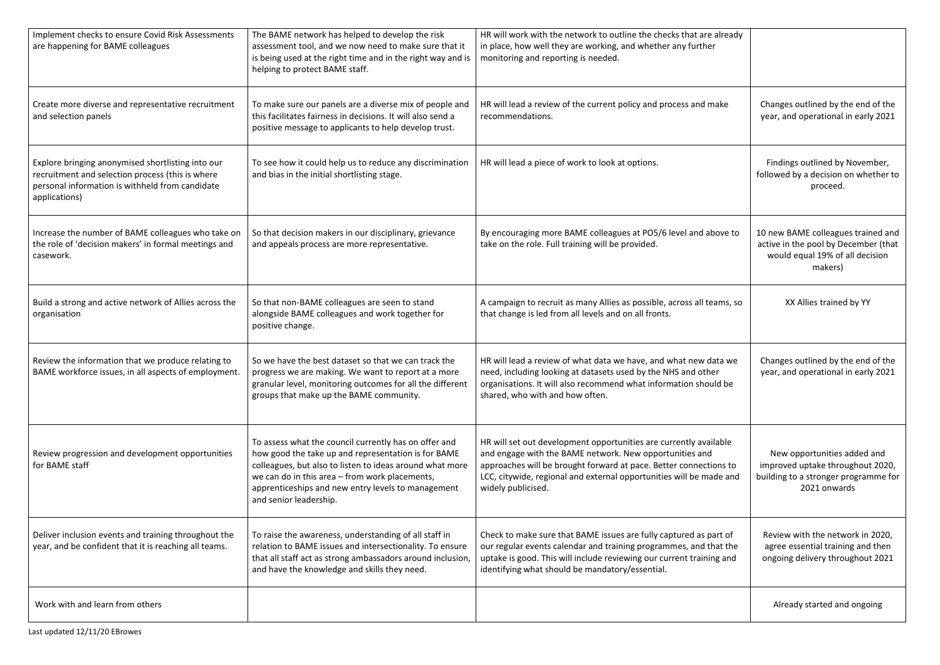| Implement checks to ensure Covid Risk Assessments<br>are happening for BAME colleagues                                                                                    | The BAME network has helped to develop the risk<br>assessment tool, and we now need to make sure that it                                                                                                                                                                                                   | HR will work with the network to outline the checks that are already<br>in place, how well they are working, and whether any further                                                                                                                                                           |                                                                                                                          |
|---------------------------------------------------------------------------------------------------------------------------------------------------------------------------|------------------------------------------------------------------------------------------------------------------------------------------------------------------------------------------------------------------------------------------------------------------------------------------------------------|------------------------------------------------------------------------------------------------------------------------------------------------------------------------------------------------------------------------------------------------------------------------------------------------|--------------------------------------------------------------------------------------------------------------------------|
|                                                                                                                                                                           | is being used at the right time and in the right way and is<br>helping to protect BAME staff.                                                                                                                                                                                                              | monitoring and reporting is needed.                                                                                                                                                                                                                                                            |                                                                                                                          |
| Create more diverse and representative recruitment<br>and selection panels                                                                                                | To make sure our panels are a diverse mix of people and<br>this facilitates fairness in decisions. It will also send a<br>positive message to applicants to help develop trust.                                                                                                                            | HR will lead a review of the current policy and process and make<br>recommendations.                                                                                                                                                                                                           | Changes outlined by the end of the<br>year, and operational in early 2021                                                |
| Explore bringing anonymised shortlisting into our<br>recruitment and selection process (this is where<br>personal information is withheld from candidate<br>applications) | To see how it could help us to reduce any discrimination<br>and bias in the initial shortlisting stage.                                                                                                                                                                                                    | HR will lead a piece of work to look at options.                                                                                                                                                                                                                                               | Findings outlined by November,<br>followed by a decision on whether to<br>proceed.                                       |
| Increase the number of BAME colleagues who take on<br>the role of 'decision makers' in formal meetings and<br>casework.                                                   | So that decision makers in our disciplinary, grievance<br>and appeals process are more representative.                                                                                                                                                                                                     | By encouraging more BAME colleagues at PO5/6 level and above to<br>take on the role. Full training will be provided.                                                                                                                                                                           | 10 new BAME colleagues trained and<br>active in the pool by December (that<br>would equal 19% of all decision<br>makers) |
| Build a strong and active network of Allies across the<br>organisation                                                                                                    | So that non-BAME colleagues are seen to stand<br>alongside BAME colleagues and work together for<br>positive change.                                                                                                                                                                                       | A campaign to recruit as many Allies as possible, across all teams, so<br>that change is led from all levels and on all fronts.                                                                                                                                                                | XX Allies trained by YY                                                                                                  |
| Review the information that we produce relating to<br>BAME workforce issues, in all aspects of employment.                                                                | So we have the best dataset so that we can track the<br>progress we are making. We want to report at a more<br>granular level, monitoring outcomes for all the different<br>groups that make up the BAME community.                                                                                        | HR will lead a review of what data we have, and what new data we<br>need, including looking at datasets used by the NHS and other<br>organisations. It will also recommend what information should be<br>shared, who with and how often.                                                       | Changes outlined by the end of the<br>year, and operational in early 2021                                                |
| Review progression and development opportunities<br>for BAME staff                                                                                                        | To assess what the council currently has on offer and<br>how good the take up and representation is for BAME<br>colleagues, but also to listen to ideas around what more<br>we can do in this area - from work placements,<br>apprenticeships and new entry levels to management<br>and senior leadership. | HR will set out development opportunities are currently available<br>and engage with the BAME network. New opportunities and<br>approaches will be brought forward at pace. Better connections to<br>LCC, citywide, regional and external opportunities will be made and<br>widely publicised. | New opportunities added and<br>improved uptake throughout 2020,<br>building to a stronger programme for<br>2021 onwards  |
| Deliver inclusion events and training throughout the<br>year, and be confident that it is reaching all teams.                                                             | To raise the awareness, understanding of all staff in<br>relation to BAME issues and intersectionality. To ensure<br>that all staff act as strong ambassadors around inclusion,<br>and have the knowledge and skills they need.                                                                            | Check to make sure that BAME issues are fully captured as part of<br>our regular events calendar and training programmes, and that the<br>uptake is good. This will include reviewing our current training and<br>identifying what should be mandatory/essential.                              | Review with the network in 2020,<br>agree essential training and then<br>ongoing delivery throughout 2021                |
| Work with and learn from others                                                                                                                                           |                                                                                                                                                                                                                                                                                                            |                                                                                                                                                                                                                                                                                                | Already started and ongoing                                                                                              |